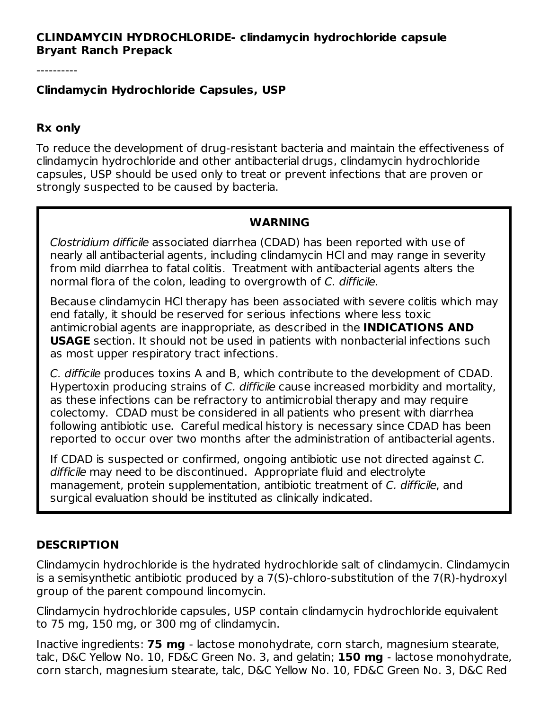### **CLINDAMYCIN HYDROCHLORIDE- clindamycin hydrochloride capsule Bryant Ranch Prepack**

----------

#### **Clindamycin Hydrochloride Capsules, USP**

#### **Rx only**

To reduce the development of drug-resistant bacteria and maintain the effectiveness of clindamycin hydrochloride and other antibacterial drugs, clindamycin hydrochloride capsules, USP should be used only to treat or prevent infections that are proven or strongly suspected to be caused by bacteria.

#### **WARNING**

Clostridium difficile associated diarrhea (CDAD) has been reported with use of nearly all antibacterial agents, including clindamycin HCl and may range in severity from mild diarrhea to fatal colitis. Treatment with antibacterial agents alters the normal flora of the colon, leading to overgrowth of C. difficile.

Because clindamycin HCl therapy has been associated with severe colitis which may end fatally, it should be reserved for serious infections where less toxic antimicrobial agents are inappropriate, as described in the **INDICATIONS AND USAGE** section. It should not be used in patients with nonbacterial infections such as most upper respiratory tract infections.

C. difficile produces toxins A and B, which contribute to the development of CDAD. Hypertoxin producing strains of C. difficile cause increased morbidity and mortality, as these infections can be refractory to antimicrobial therapy and may require colectomy. CDAD must be considered in all patients who present with diarrhea following antibiotic use. Careful medical history is necessary since CDAD has been reported to occur over two months after the administration of antibacterial agents.

If CDAD is suspected or confirmed, ongoing antibiotic use not directed against C. difficile may need to be discontinued. Appropriate fluid and electrolyte management, protein supplementation, antibiotic treatment of C. difficile, and surgical evaluation should be instituted as clinically indicated.

### **DESCRIPTION**

Clindamycin hydrochloride is the hydrated hydrochloride salt of clindamycin. Clindamycin is a semisynthetic antibiotic produced by a 7(S)-chloro-substitution of the 7(R)-hydroxyl group of the parent compound lincomycin.

Clindamycin hydrochloride capsules, USP contain clindamycin hydrochloride equivalent to 75 mg, 150 mg, or 300 mg of clindamycin.

Inactive ingredients: **75 mg** - lactose monohydrate, corn starch, magnesium stearate, talc, D&C Yellow No. 10, FD&C Green No. 3, and gelatin; **150 mg** - lactose monohydrate, corn starch, magnesium stearate, talc, D&C Yellow No. 10, FD&C Green No. 3, D&C Red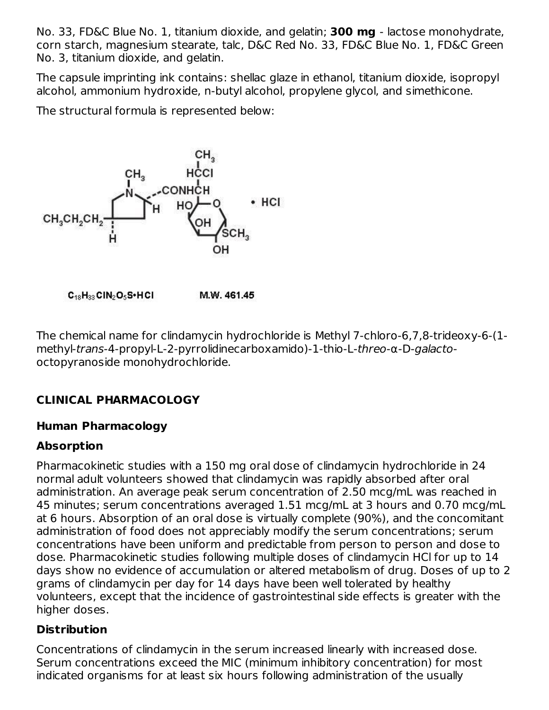No. 33, FD&C Blue No. 1, titanium dioxide, and gelatin; **300 mg** - lactose monohydrate, corn starch, magnesium stearate, talc, D&C Red No. 33, FD&C Blue No. 1, FD&C Green No. 3, titanium dioxide, and gelatin.

The capsule imprinting ink contains: shellac glaze in ethanol, titanium dioxide, isopropyl alcohol, ammonium hydroxide, n-butyl alcohol, propylene glycol, and simethicone.

The structural formula is represented below:



 $C_{18}H_{33}$ CIN<sub>2</sub>O<sub>5</sub>S•HCI M.W. 461.45

The chemical name for clindamycin hydrochloride is Methyl 7-chloro-6,7,8-trideoxy-6-(1 methyl-trans-4-propyl-L-2-pyrrolidinecarboxamido)-1-thio-L-threo-α-D-galactooctopyranoside monohydrochloride.

# **CLINICAL PHARMACOLOGY**

### **Human Pharmacology**

## **Absorption**

Pharmacokinetic studies with a 150 mg oral dose of clindamycin hydrochloride in 24 normal adult volunteers showed that clindamycin was rapidly absorbed after oral administration. An average peak serum concentration of 2.50 mcg/mL was reached in 45 minutes; serum concentrations averaged 1.51 mcg/mL at 3 hours and 0.70 mcg/mL at 6 hours. Absorption of an oral dose is virtually complete (90%), and the concomitant administration of food does not appreciably modify the serum concentrations; serum concentrations have been uniform and predictable from person to person and dose to dose. Pharmacokinetic studies following multiple doses of clindamycin HCl for up to 14 days show no evidence of accumulation or altered metabolism of drug. Doses of up to 2 grams of clindamycin per day for 14 days have been well tolerated by healthy volunteers, except that the incidence of gastrointestinal side effects is greater with the higher doses.

## **Distribution**

Concentrations of clindamycin in the serum increased linearly with increased dose. Serum concentrations exceed the MIC (minimum inhibitory concentration) for most indicated organisms for at least six hours following administration of the usually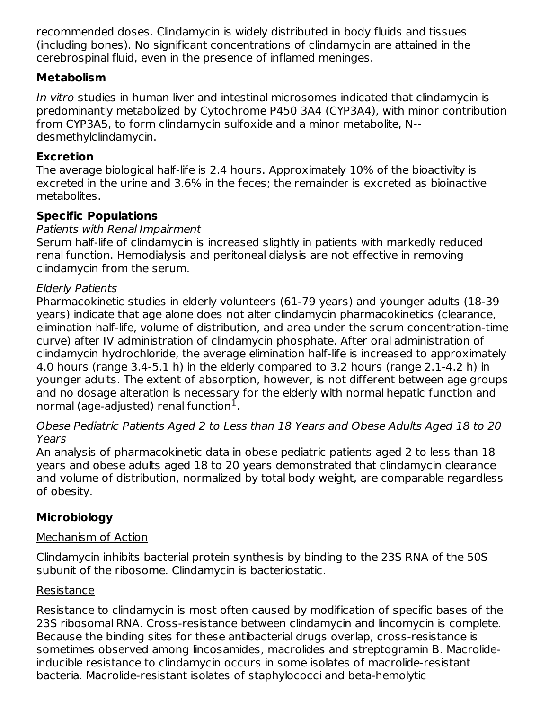recommended doses. Clindamycin is widely distributed in body fluids and tissues (including bones). No significant concentrations of clindamycin are attained in the cerebrospinal fluid, even in the presence of inflamed meninges.

## **Metabolism**

In vitro studies in human liver and intestinal microsomes indicated that clindamycin is predominantly metabolized by Cytochrome P450 3A4 (CYP3A4), with minor contribution from CYP3A5, to form clindamycin sulfoxide and a minor metabolite, N desmethylclindamycin.

## **Excretion**

The average biological half-life is 2.4 hours. Approximately 10% of the bioactivity is excreted in the urine and 3.6% in the feces; the remainder is excreted as bioinactive metabolites.

# **Specific Populations**

## Patients with Renal Impairment

Serum half-life of clindamycin is increased slightly in patients with markedly reduced renal function. Hemodialysis and peritoneal dialysis are not effective in removing clindamycin from the serum.

## Elderly Patients

Pharmacokinetic studies in elderly volunteers (61-79 years) and younger adults (18-39 years) indicate that age alone does not alter clindamycin pharmacokinetics (clearance, elimination half-life, volume of distribution, and area under the serum concentration-time curve) after IV administration of clindamycin phosphate. After oral administration of clindamycin hydrochloride, the average elimination half-life is increased to approximately 4.0 hours (range 3.4-5.1 h) in the elderly compared to 3.2 hours (range 2.1-4.2 h) in younger adults. The extent of absorption, however, is not different between age groups and no dosage alteration is necessary for the elderly with normal hepatic function and normal (age-adjusted) renal function $^1\!\!$  .

### Obese Pediatric Patients Aged 2 to Less than 18 Years and Obese Adults Aged 18 to 20 Years

An analysis of pharmacokinetic data in obese pediatric patients aged 2 to less than 18 years and obese adults aged 18 to 20 years demonstrated that clindamycin clearance and volume of distribution, normalized by total body weight, are comparable regardless of obesity.

# **Microbiology**

## Mechanism of Action

Clindamycin inhibits bacterial protein synthesis by binding to the 23S RNA of the 50S subunit of the ribosome. Clindamycin is bacteriostatic.

## Resistance

Resistance to clindamycin is most often caused by modification of specific bases of the 23S ribosomal RNA. Cross-resistance between clindamycin and lincomycin is complete. Because the binding sites for these antibacterial drugs overlap, cross-resistance is sometimes observed among lincosamides, macrolides and streptogramin B. Macrolideinducible resistance to clindamycin occurs in some isolates of macrolide-resistant bacteria. Macrolide-resistant isolates of staphylococci and beta-hemolytic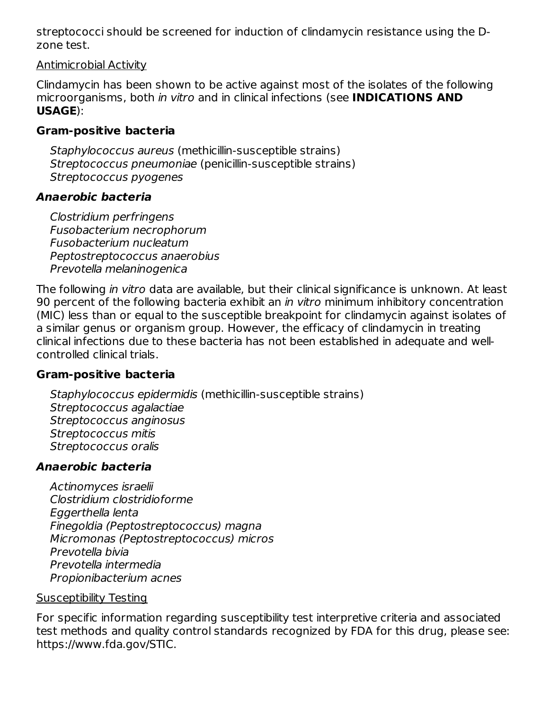streptococci should be screened for induction of clindamycin resistance using the Dzone test.

#### Antimicrobial Activity

Clindamycin has been shown to be active against most of the isolates of the following microorganisms, both in vitro and in clinical infections (see **INDICATIONS AND USAGE**):

### **Gram-positive bacteria**

Staphylococcus aureus (methicillin-susceptible strains) Streptococcus pneumoniae (penicillin-susceptible strains) Streptococcus pyogenes

### **Anaerobic bacteria**

Clostridium perfringens Fusobacterium necrophorum Fusobacterium nucleatum Peptostreptococcus anaerobius Prevotella melaninogenica

The following in vitro data are available, but their clinical significance is unknown. At least 90 percent of the following bacteria exhibit an *in vitro* minimum inhibitory concentration (MIC) less than or equal to the susceptible breakpoint for clindamycin against isolates of a similar genus or organism group. However, the efficacy of clindamycin in treating clinical infections due to these bacteria has not been established in adequate and wellcontrolled clinical trials.

### **Gram-positive bacteria**

Staphylococcus epidermidis (methicillin-susceptible strains) Streptococcus agalactiae Streptococcus anginosus Streptococcus mitis Streptococcus oralis

## **Anaerobic bacteria**

Actinomyces israelii Clostridium clostridioforme Eggerthella lenta Finegoldia (Peptostreptococcus) magna Micromonas (Peptostreptococcus) micros Prevotella bivia Prevotella intermedia Propionibacterium acnes

### Susceptibility Testing

For specific information regarding susceptibility test interpretive criteria and associated test methods and quality control standards recognized by FDA for this drug, please see: https://www.fda.gov/STIC.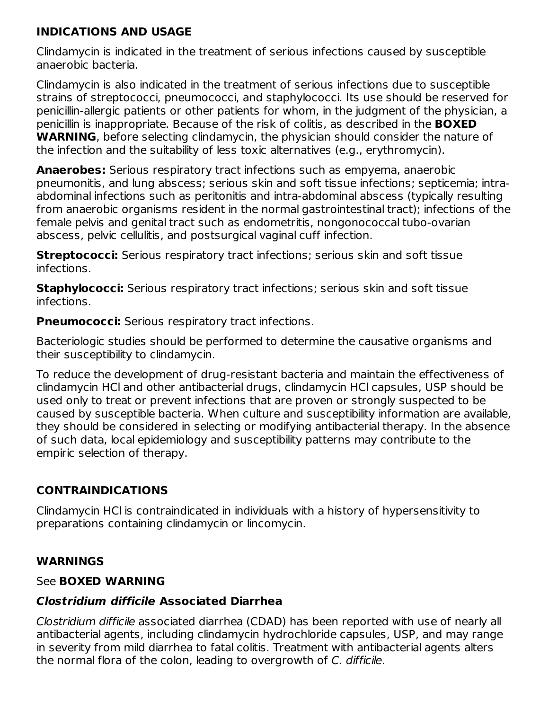### **INDICATIONS AND USAGE**

Clindamycin is indicated in the treatment of serious infections caused by susceptible anaerobic bacteria.

Clindamycin is also indicated in the treatment of serious infections due to susceptible strains of streptococci, pneumococci, and staphylococci. Its use should be reserved for penicillin-allergic patients or other patients for whom, in the judgment of the physician, a penicillin is inappropriate. Because of the risk of colitis, as described in the **BOXED WARNING**, before selecting clindamycin, the physician should consider the nature of the infection and the suitability of less toxic alternatives (e.g., erythromycin).

**Anaerobes:** Serious respiratory tract infections such as empyema, anaerobic pneumonitis, and lung abscess; serious skin and soft tissue infections; septicemia; intraabdominal infections such as peritonitis and intra-abdominal abscess (typically resulting from anaerobic organisms resident in the normal gastrointestinal tract); infections of the female pelvis and genital tract such as endometritis, nongonococcal tubo-ovarian abscess, pelvic cellulitis, and postsurgical vaginal cuff infection.

**Streptococci:** Serious respiratory tract infections; serious skin and soft tissue infections.

**Staphylococci:** Serious respiratory tract infections; serious skin and soft tissue infections.

**Pneumococci:** Serious respiratory tract infections.

Bacteriologic studies should be performed to determine the causative organisms and their susceptibility to clindamycin.

To reduce the development of drug-resistant bacteria and maintain the effectiveness of clindamycin HCl and other antibacterial drugs, clindamycin HCl capsules, USP should be used only to treat or prevent infections that are proven or strongly suspected to be caused by susceptible bacteria. When culture and susceptibility information are available, they should be considered in selecting or modifying antibacterial therapy. In the absence of such data, local epidemiology and susceptibility patterns may contribute to the empiric selection of therapy.

## **CONTRAINDICATIONS**

Clindamycin HCl is contraindicated in individuals with a history of hypersensitivity to preparations containing clindamycin or lincomycin.

## **WARNINGS**

### See **BOXED WARNING**

### **Clostridium difficile Associated Diarrhea**

Clostridium difficile associated diarrhea (CDAD) has been reported with use of nearly all antibacterial agents, including clindamycin hydrochloride capsules, USP, and may range in severity from mild diarrhea to fatal colitis. Treatment with antibacterial agents alters the normal flora of the colon, leading to overgrowth of C. difficile.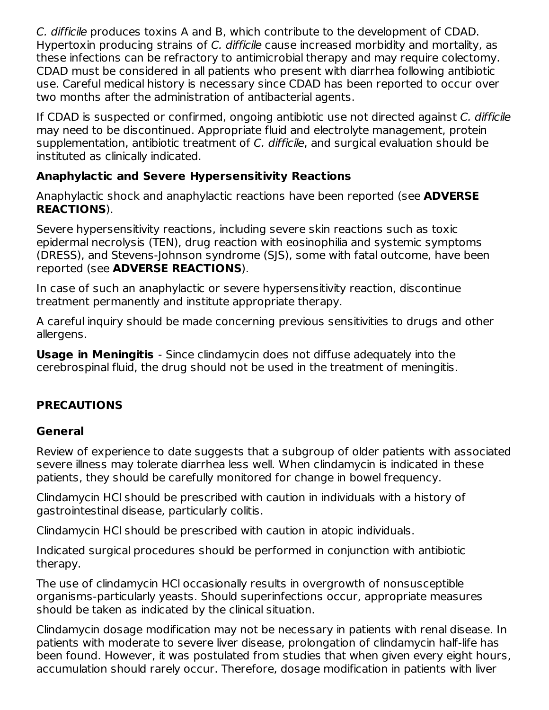C. difficile produces toxins A and B, which contribute to the development of CDAD. Hypertoxin producing strains of C. difficile cause increased morbidity and mortality, as these infections can be refractory to antimicrobial therapy and may require colectomy. CDAD must be considered in all patients who present with diarrhea following antibiotic use. Careful medical history is necessary since CDAD has been reported to occur over two months after the administration of antibacterial agents.

If CDAD is suspected or confirmed, ongoing antibiotic use not directed against C. difficile may need to be discontinued. Appropriate fluid and electrolyte management, protein supplementation, antibiotic treatment of C. difficile, and surgical evaluation should be instituted as clinically indicated.

## **Anaphylactic and Severe Hypersensitivity Reactions**

Anaphylactic shock and anaphylactic reactions have been reported (see **ADVERSE REACTIONS**).

Severe hypersensitivity reactions, including severe skin reactions such as toxic epidermal necrolysis (TEN), drug reaction with eosinophilia and systemic symptoms (DRESS), and Stevens-Johnson syndrome (SJS), some with fatal outcome, have been reported (see **ADVERSE REACTIONS**).

In case of such an anaphylactic or severe hypersensitivity reaction, discontinue treatment permanently and institute appropriate therapy.

A careful inquiry should be made concerning previous sensitivities to drugs and other allergens.

**Usage in Meningitis** - Since clindamycin does not diffuse adequately into the cerebrospinal fluid, the drug should not be used in the treatment of meningitis.

# **PRECAUTIONS**

## **General**

Review of experience to date suggests that a subgroup of older patients with associated severe illness may tolerate diarrhea less well. When clindamycin is indicated in these patients, they should be carefully monitored for change in bowel frequency.

Clindamycin HCl should be prescribed with caution in individuals with a history of gastrointestinal disease, particularly colitis.

Clindamycin HCl should be prescribed with caution in atopic individuals.

Indicated surgical procedures should be performed in conjunction with antibiotic therapy.

The use of clindamycin HCl occasionally results in overgrowth of nonsusceptible organisms-particularly yeasts. Should superinfections occur, appropriate measures should be taken as indicated by the clinical situation.

Clindamycin dosage modification may not be necessary in patients with renal disease. In patients with moderate to severe liver disease, prolongation of clindamycin half-life has been found. However, it was postulated from studies that when given every eight hours, accumulation should rarely occur. Therefore, dosage modification in patients with liver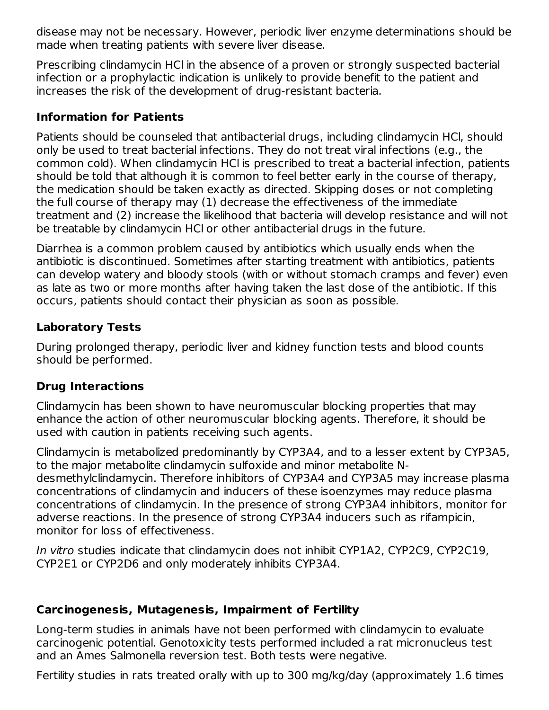disease may not be necessary. However, periodic liver enzyme determinations should be made when treating patients with severe liver disease.

Prescribing clindamycin HCl in the absence of a proven or strongly suspected bacterial infection or a prophylactic indication is unlikely to provide benefit to the patient and increases the risk of the development of drug-resistant bacteria.

### **Information for Patients**

Patients should be counseled that antibacterial drugs, including clindamycin HCl, should only be used to treat bacterial infections. They do not treat viral infections (e.g., the common cold). When clindamycin HCl is prescribed to treat a bacterial infection, patients should be told that although it is common to feel better early in the course of therapy, the medication should be taken exactly as directed. Skipping doses or not completing the full course of therapy may (1) decrease the effectiveness of the immediate treatment and (2) increase the likelihood that bacteria will develop resistance and will not be treatable by clindamycin HCl or other antibacterial drugs in the future.

Diarrhea is a common problem caused by antibiotics which usually ends when the antibiotic is discontinued. Sometimes after starting treatment with antibiotics, patients can develop watery and bloody stools (with or without stomach cramps and fever) even as late as two or more months after having taken the last dose of the antibiotic. If this occurs, patients should contact their physician as soon as possible.

## **Laboratory Tests**

During prolonged therapy, periodic liver and kidney function tests and blood counts should be performed.

## **Drug Interactions**

Clindamycin has been shown to have neuromuscular blocking properties that may enhance the action of other neuromuscular blocking agents. Therefore, it should be used with caution in patients receiving such agents.

Clindamycin is metabolized predominantly by CYP3A4, and to a lesser extent by CYP3A5, to the major metabolite clindamycin sulfoxide and minor metabolite Ndesmethylclindamycin. Therefore inhibitors of CYP3A4 and CYP3A5 may increase plasma concentrations of clindamycin and inducers of these isoenzymes may reduce plasma concentrations of clindamycin. In the presence of strong CYP3A4 inhibitors, monitor for adverse reactions. In the presence of strong CYP3A4 inducers such as rifampicin, monitor for loss of effectiveness.

In vitro studies indicate that clindamycin does not inhibit CYP1A2, CYP2C9, CYP2C19, CYP2E1 or CYP2D6 and only moderately inhibits CYP3A4.

## **Carcinogenesis, Mutagenesis, Impairment of Fertility**

Long-term studies in animals have not been performed with clindamycin to evaluate carcinogenic potential. Genotoxicity tests performed included a rat micronucleus test and an Ames Salmonella reversion test. Both tests were negative.

Fertility studies in rats treated orally with up to 300 mg/kg/day (approximately 1.6 times 2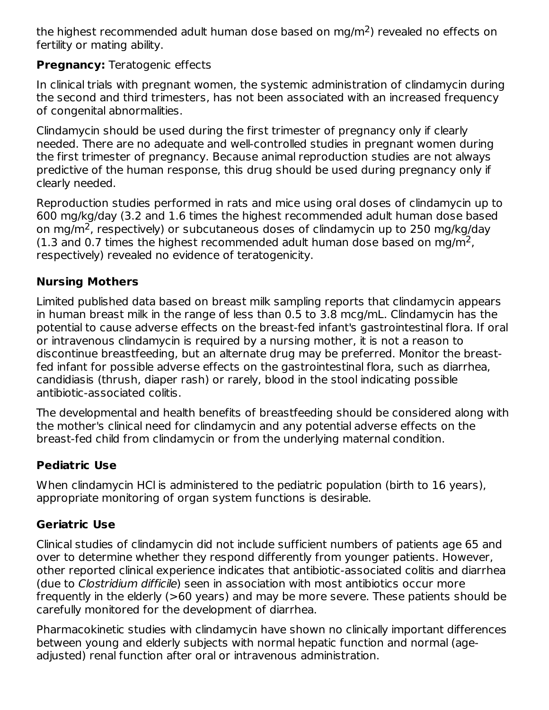the highest recommended adult human dose based on mg/m<sup>2</sup>) revealed no effects on fertility or mating ability.

## **Pregnancy:** Teratogenic effects

In clinical trials with pregnant women, the systemic administration of clindamycin during the second and third trimesters, has not been associated with an increased frequency of congenital abnormalities.

Clindamycin should be used during the first trimester of pregnancy only if clearly needed. There are no adequate and well-controlled studies in pregnant women during the first trimester of pregnancy. Because animal reproduction studies are not always predictive of the human response, this drug should be used during pregnancy only if clearly needed.

Reproduction studies performed in rats and mice using oral doses of clindamycin up to 600 mg/kg/day (3.2 and 1.6 times the highest recommended adult human dose based on mg/m<sup>2</sup>, respectively) or subcutaneous doses of clindamycin up to 250 mg/kg/day (1.3 and 0.7 times the highest recommended adult human dose based on mg/m<sup>2</sup>, respectively) revealed no evidence of teratogenicity.

### **Nursing Mothers**

Limited published data based on breast milk sampling reports that clindamycin appears in human breast milk in the range of less than 0.5 to 3.8 mcg/mL. Clindamycin has the potential to cause adverse effects on the breast-fed infant's gastrointestinal flora. If oral or intravenous clindamycin is required by a nursing mother, it is not a reason to discontinue breastfeeding, but an alternate drug may be preferred. Monitor the breastfed infant for possible adverse effects on the gastrointestinal flora, such as diarrhea, candidiasis (thrush, diaper rash) or rarely, blood in the stool indicating possible antibiotic-associated colitis.

The developmental and health benefits of breastfeeding should be considered along with the mother's clinical need for clindamycin and any potential adverse effects on the breast-fed child from clindamycin or from the underlying maternal condition.

## **Pediatric Use**

When clindamycin HCI is administered to the pediatric population (birth to 16 years), appropriate monitoring of organ system functions is desirable.

## **Geriatric Use**

Clinical studies of clindamycin did not include sufficient numbers of patients age 65 and over to determine whether they respond differently from younger patients. However, other reported clinical experience indicates that antibiotic-associated colitis and diarrhea (due to Clostridium difficile) seen in association with most antibiotics occur more frequently in the elderly (>60 years) and may be more severe. These patients should be carefully monitored for the development of diarrhea.

Pharmacokinetic studies with clindamycin have shown no clinically important differences between young and elderly subjects with normal hepatic function and normal (ageadjusted) renal function after oral or intravenous administration.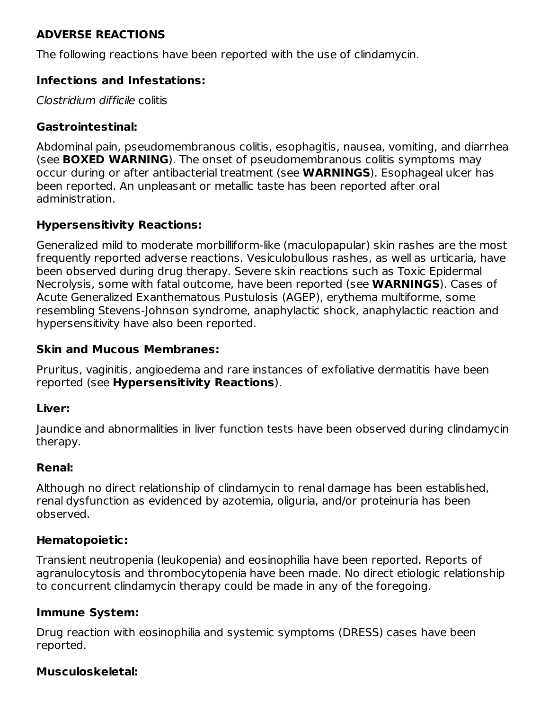## **ADVERSE REACTIONS**

The following reactions have been reported with the use of clindamycin.

### **Infections and Infestations:**

Clostridium difficile colitis

### **Gastrointestinal:**

Abdominal pain, pseudomembranous colitis, esophagitis, nausea, vomiting, and diarrhea (see **BOXED WARNING**). The onset of pseudomembranous colitis symptoms may occur during or after antibacterial treatment (see **WARNINGS**). Esophageal ulcer has been reported. An unpleasant or metallic taste has been reported after oral administration.

## **Hypersensitivity Reactions:**

Generalized mild to moderate morbilliform-like (maculopapular) skin rashes are the most frequently reported adverse reactions. Vesiculobullous rashes, as well as urticaria, have been observed during drug therapy. Severe skin reactions such as Toxic Epidermal Necrolysis, some with fatal outcome, have been reported (see **WARNINGS**). Cases of Acute Generalized Exanthematous Pustulosis (AGEP), erythema multiforme, some resembling Stevens-Johnson syndrome, anaphylactic shock, anaphylactic reaction and hypersensitivity have also been reported.

### **Skin and Mucous Membranes:**

Pruritus, vaginitis, angioedema and rare instances of exfoliative dermatitis have been reported (see **Hypersensitivity Reactions**).

### **Liver:**

Jaundice and abnormalities in liver function tests have been observed during clindamycin therapy.

### **Renal:**

Although no direct relationship of clindamycin to renal damage has been established, renal dysfunction as evidenced by azotemia, oliguria, and/or proteinuria has been observed.

### **Hematopoietic:**

Transient neutropenia (leukopenia) and eosinophilia have been reported. Reports of agranulocytosis and thrombocytopenia have been made. No direct etiologic relationship to concurrent clindamycin therapy could be made in any of the foregoing.

### **Immune System:**

Drug reaction with eosinophilia and systemic symptoms (DRESS) cases have been reported.

### **Musculoskeletal:**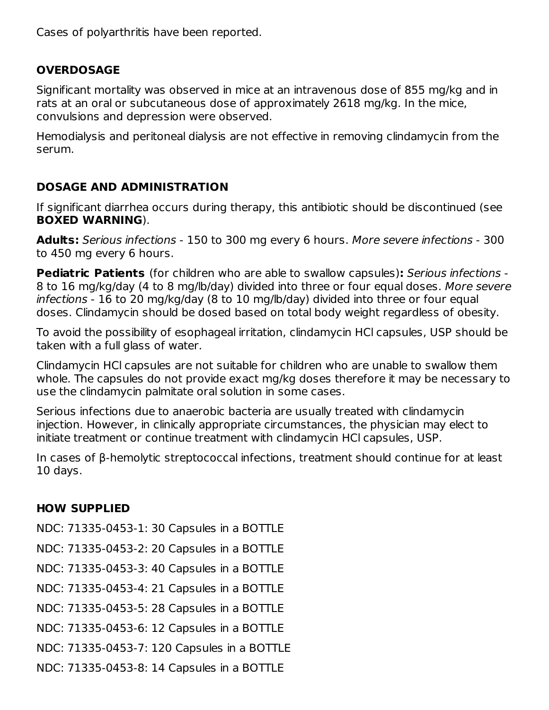Cases of polyarthritis have been reported.

## **OVERDOSAGE**

Significant mortality was observed in mice at an intravenous dose of 855 mg/kg and in rats at an oral or subcutaneous dose of approximately 2618 mg/kg. In the mice, convulsions and depression were observed.

Hemodialysis and peritoneal dialysis are not effective in removing clindamycin from the serum.

## **DOSAGE AND ADMINISTRATION**

If significant diarrhea occurs during therapy, this antibiotic should be discontinued (see **BOXED WARNING**).

**Adults:** Serious infections - 150 to 300 mg every 6 hours. More severe infections - 300 to 450 mg every 6 hours.

**Pediatric Patients** (for children who are able to swallow capsules)**:** Serious infections - 8 to 16 mg/kg/day (4 to 8 mg/lb/day) divided into three or four equal doses. More severe infections - 16 to 20 mg/kg/day (8 to 10 mg/lb/day) divided into three or four equal doses. Clindamycin should be dosed based on total body weight regardless of obesity.

To avoid the possibility of esophageal irritation, clindamycin HCl capsules, USP should be taken with a full glass of water.

Clindamycin HCl capsules are not suitable for children who are unable to swallow them whole. The capsules do not provide exact mg/kg doses therefore it may be necessary to use the clindamycin palmitate oral solution in some cases.

Serious infections due to anaerobic bacteria are usually treated with clindamycin injection. However, in clinically appropriate circumstances, the physician may elect to initiate treatment or continue treatment with clindamycin HCl capsules, USP.

In cases of β-hemolytic streptococcal infections, treatment should continue for at least 10 days.

# **HOW SUPPLIED**

NDC: 71335-0453-1: 30 Capsules in a BOTTLE NDC: 71335-0453-2: 20 Capsules in a BOTTLE NDC: 71335-0453-3: 40 Capsules in a BOTTLE NDC: 71335-0453-4: 21 Capsules in a BOTTLE

NDC: 71335-0453-5: 28 Capsules in a BOTTLE

NDC: 71335-0453-6: 12 Capsules in a BOTTLE

NDC: 71335-0453-7: 120 Capsules in a BOTTLE

NDC: 71335-0453-8: 14 Capsules in a BOTTLE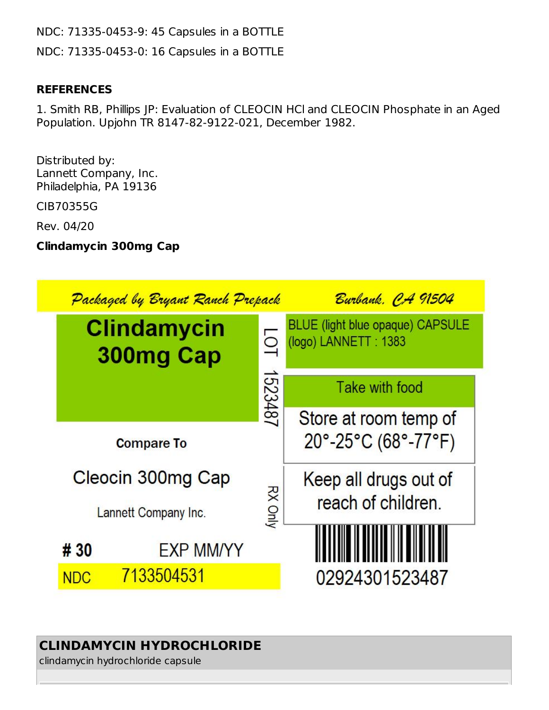NDC: 71335-0453-9: 45 Capsules in a BOTTLE NDC: 71335-0453-0: 16 Capsules in a BOTTLE

### **REFERENCES**

1. Smith RB, Phillips JP: Evaluation of CLEOCIN HCl and CLEOCIN Phosphate in an Aged Population. Upjohn TR 8147-82-9122-021, December 1982.

Distributed by: Lannett Company, Inc. Philadelphia, PA 19136

CIB70355G

Rev. 04/20

**Clindamycin 300mg Cap**

| Packaged by Bryant Ranch Prepack |                                 |                | Burbank. CA 91504                                               |  |
|----------------------------------|---------------------------------|----------------|-----------------------------------------------------------------|--|
|                                  | <b>Clindamycin</b><br>300mg Cap |                | <b>BLUE</b> (light blue opaque) CAPSULE<br>(logo) LANNETT: 1383 |  |
|                                  |                                 | 1523487        | Take with food                                                  |  |
|                                  |                                 |                | Store at room temp of                                           |  |
| <b>Compare To</b>                |                                 |                | 20°-25°C (68°-77°F)                                             |  |
| Cleocin 300mg Cap                |                                 |                | Keep all drugs out of<br>reach of children.                     |  |
| Lannett Company Inc.             |                                 | <b>RX Only</b> |                                                                 |  |
|                                  |                                 |                |                                                                 |  |
| # 30                             | <b>EXP MM/YY</b>                |                |                                                                 |  |
| <b>NDC</b>                       | 7133504531                      |                | 02924301523487                                                  |  |

# **CLINDAMYCIN HYDROCHLORIDE**

clindamycin hydrochloride capsule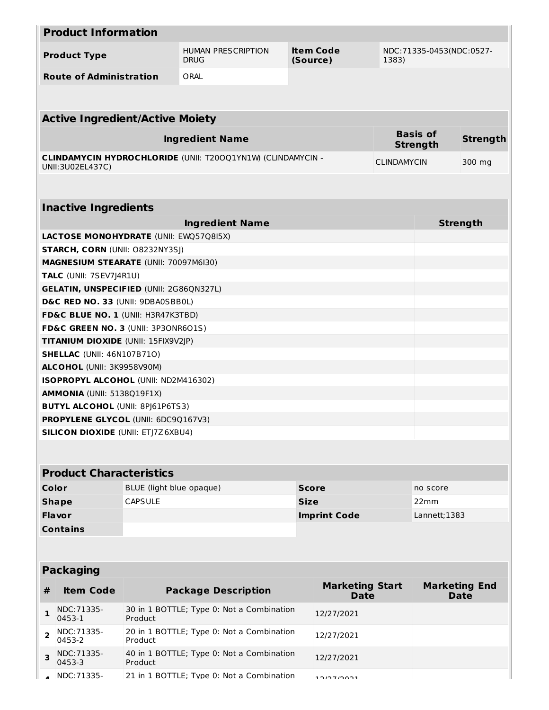| <b>Product Information</b> |                                                                              |                                                                          |                                                                    |       |                                       |                                    |                 |                                     |
|----------------------------|------------------------------------------------------------------------------|--------------------------------------------------------------------------|--------------------------------------------------------------------|-------|---------------------------------------|------------------------------------|-----------------|-------------------------------------|
|                            | <b>Product Type</b>                                                          | <b>Item Code</b><br><b>HUMAN PRESCRIPTION</b><br><b>DRUG</b><br>(Source) |                                                                    | 1383) | NDC: 71335-0453(NDC: 0527-            |                                    |                 |                                     |
|                            | <b>Route of Administration</b>                                               |                                                                          | ORAL                                                               |       |                                       |                                    |                 |                                     |
|                            |                                                                              |                                                                          |                                                                    |       |                                       |                                    |                 |                                     |
|                            | <b>Active Ingredient/Active Moiety</b>                                       |                                                                          |                                                                    |       |                                       |                                    |                 |                                     |
| <b>Ingredient Name</b>     |                                                                              |                                                                          |                                                                    |       |                                       | <b>Basis of</b><br><b>Strength</b> | <b>Strength</b> |                                     |
|                            | UNII: 3U02EL437C)                                                            |                                                                          | <b>CLINDAMYCIN HYDROCHLORIDE (UNII: T200Q1YN1W) (CLINDAMYCIN -</b> |       |                                       | <b>CLINDAMYCIN</b>                 |                 | 300 mg                              |
|                            |                                                                              |                                                                          |                                                                    |       |                                       |                                    |                 |                                     |
|                            | <b>Inactive Ingredients</b>                                                  |                                                                          |                                                                    |       |                                       |                                    |                 |                                     |
|                            |                                                                              |                                                                          | <b>Ingredient Name</b>                                             |       |                                       |                                    |                 | <b>Strength</b>                     |
|                            | <b>LACTOSE MONOHYDRATE (UNII: EWQ57Q8I5X)</b>                                |                                                                          |                                                                    |       |                                       |                                    |                 |                                     |
|                            | STARCH, CORN (UNII: 08232NY3SJ)                                              |                                                                          |                                                                    |       |                                       |                                    |                 |                                     |
|                            | <b>MAGNESIUM STEARATE (UNII: 70097M6I30)</b>                                 |                                                                          |                                                                    |       |                                       |                                    |                 |                                     |
|                            | <b>TALC</b> (UNII: 7SEV7J4R1U)                                               |                                                                          |                                                                    |       |                                       |                                    |                 |                                     |
|                            | <b>GELATIN, UNSPECIFIED (UNII: 2G86QN327L)</b>                               |                                                                          |                                                                    |       |                                       |                                    |                 |                                     |
|                            | D&C RED NO. 33 (UNII: 9DBA0SBB0L)                                            |                                                                          |                                                                    |       |                                       |                                    |                 |                                     |
|                            | FD&C BLUE NO. 1 (UNII: H3R47K3TBD)                                           |                                                                          |                                                                    |       |                                       |                                    |                 |                                     |
|                            | FD&C GREEN NO. 3 (UNII: 3P3ONR6O1S)                                          |                                                                          |                                                                    |       |                                       |                                    |                 |                                     |
|                            | TITANIUM DIOXIDE (UNII: 15FIX9V2JP)                                          |                                                                          |                                                                    |       |                                       |                                    |                 |                                     |
|                            | <b>SHELLAC (UNII: 46N107B71O)</b>                                            |                                                                          |                                                                    |       |                                       |                                    |                 |                                     |
|                            | ALCOHOL (UNII: 3K9958V90M)                                                   |                                                                          |                                                                    |       |                                       |                                    |                 |                                     |
|                            | ISOPROPYL ALCOHOL (UNII: ND2M416302)                                         |                                                                          |                                                                    |       |                                       |                                    |                 |                                     |
|                            | <b>AMMONIA (UNII: 5138Q19F1X)</b><br><b>BUTYL ALCOHOL (UNII: 8PJ61P6TS3)</b> |                                                                          |                                                                    |       |                                       |                                    |                 |                                     |
|                            | PROPYLENE GLYCOL (UNII: 6DC9Q167V3)                                          |                                                                          |                                                                    |       |                                       |                                    |                 |                                     |
|                            | <b>SILICON DIOXIDE (UNII: ETJ7Z6XBU4)</b>                                    |                                                                          |                                                                    |       |                                       |                                    |                 |                                     |
|                            |                                                                              |                                                                          |                                                                    |       |                                       |                                    |                 |                                     |
|                            |                                                                              |                                                                          |                                                                    |       |                                       |                                    |                 |                                     |
|                            | <b>Product Characteristics</b>                                               |                                                                          |                                                                    |       |                                       |                                    |                 |                                     |
| Color                      |                                                                              | BLUE (light blue opaque)                                                 |                                                                    |       | <b>Score</b>                          |                                    | no score        |                                     |
|                            |                                                                              | <b>CAPSULE</b>                                                           |                                                                    |       | <b>Size</b>                           |                                    | 22mm            |                                     |
| <b>Shape</b>               |                                                                              |                                                                          |                                                                    |       | Lannett; 1383                         |                                    |                 |                                     |
|                            | Flavor<br><b>Imprint Code</b><br><b>Contains</b>                             |                                                                          |                                                                    |       |                                       |                                    |                 |                                     |
|                            |                                                                              |                                                                          |                                                                    |       |                                       |                                    |                 |                                     |
| <b>Packaging</b>           |                                                                              |                                                                          |                                                                    |       |                                       |                                    |                 |                                     |
| #                          | <b>Item Code</b>                                                             |                                                                          | <b>Package Description</b>                                         |       | <b>Marketing Start</b><br><b>Date</b> |                                    |                 | <b>Marketing End</b><br><b>Date</b> |
|                            | NDC:71335-                                                                   |                                                                          | 30 in 1 BOTTLE; Type 0: Not a Combination                          |       |                                       |                                    |                 |                                     |
| 1                          | 0453-1                                                                       | Product                                                                  |                                                                    |       | 12/27/2021                            |                                    |                 |                                     |
| $\overline{2}$             | NDC:71335-<br>0453-2                                                         | Product                                                                  | 20 in 1 BOTTLE; Type 0: Not a Combination                          |       | 12/27/2021                            |                                    |                 |                                     |
| 3                          | NDC:71335-<br>0453-3                                                         | Product                                                                  | 40 in 1 BOTTLE; Type 0: Not a Combination                          |       | 12/27/2021                            |                                    |                 |                                     |
|                            | NDC: 71335-                                                                  |                                                                          | 21 in 1 BOTTLE; Type 0: Not a Combination                          |       | $1.2171001$                           |                                    |                 |                                     |